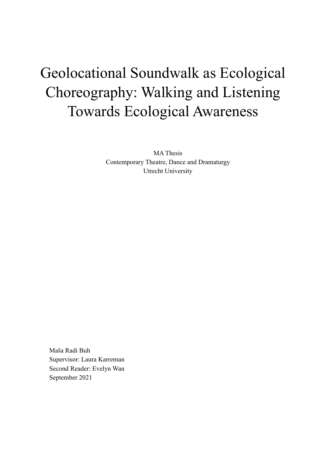# Geolocational Soundwalk as Ecological Choreography: Walking and Listening Towards Ecological Awareness

MA Thesis Contemporary Theatre, Dance and Dramaturgy Utrecht University

Maša Radi Buh Supervisor: Laura Karreman Second Reader: Evelyn Wan September 2021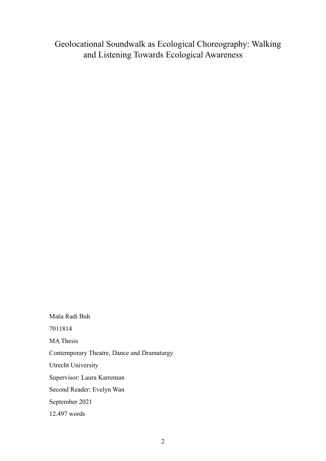Geolocational Soundwalk as Ecological Choreography: Walking and Listening Towards Ecological Awareness

Maša Radi Buh 7011814 MA Thesis Contemporary Theatre, Dance and Dramaturgy Utrecht University Supervisor: Laura Karreman Second Reader: Evelyn Wan September 2021 12.497 words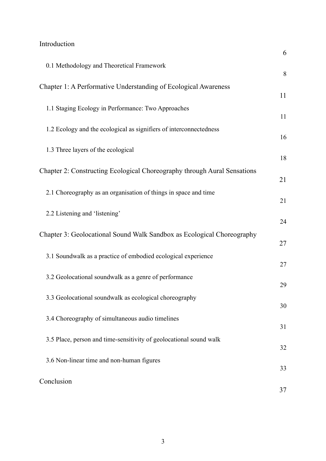## [Introduction](#page-5-0)

|                                                                          | 6  |
|--------------------------------------------------------------------------|----|
| 0.1 Methodology and Theoretical Framework                                | 8  |
| Chapter 1: A Performative Understanding of Ecological Awareness          | 11 |
| 1.1 Staging Ecology in Performance: Two Approaches                       | 11 |
| 1.2 Ecology and the ecological as signifiers of interconnectedness       | 16 |
| 1.3 Three layers of the ecological                                       | 18 |
| Chapter 2: Constructing Ecological Choreography through Aural Sensations | 21 |
| 2.1 Choreography as an organisation of things in space and time          | 21 |
| 2.2 Listening and 'listening'                                            | 24 |
| Chapter 3: Geolocational Sound Walk Sandbox as Ecological Choreography   | 27 |
| 3.1 Soundwalk as a practice of embodied ecological experience            | 27 |
| 3.2 Geolocational soundwalk as a genre of performance                    | 29 |
| 3.3 Geolocational soundwalk as ecological choreography                   | 30 |
| 3.4 Choreography of simultaneous audio timelines                         | 31 |
| 3.5 Place, person and time-sensitivity of geolocational sound walk       | 32 |
| 3.6 Non-linear time and non-human figures                                | 33 |
| Conclusion                                                               | 37 |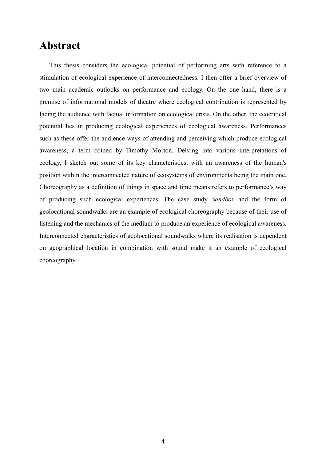## **Abstract**

This thesis considers the ecological potential of performing arts with reference to a stimulation of ecological experience of interconnectedness. I then offer a brief overview of two main academic outlooks on performance and ecology. On the one hand, there is a premise of informational models of theatre where ecological contribution is represented by facing the audience with factual information on ecological crisis. On the other, the ecocritical potential lies in producing ecological experiences of ecological awareness. Performances such as these offer the audience ways of attending and perceiving which produce ecological awareness, a term coined by Timothy Morton. Delving into various interpretations of ecology, I sketch out some of its key characteristics, with an awareness of the human's position within the interconnected nature of ecosystems of environments being the main one. Choreography as a definition of things in space and time means refers to performance's way of producing such ecological experiences. The case study *Sandbox* and the form of geolocational soundwalks are an example of ecological choreography because of their use of listening and the mechanics of the medium to produce an experience of ecological awareness. Interconnected characteristics of geolocational soundwalks where its realisation is dependent on geographical location in combination with sound make it an example of ecological choreography.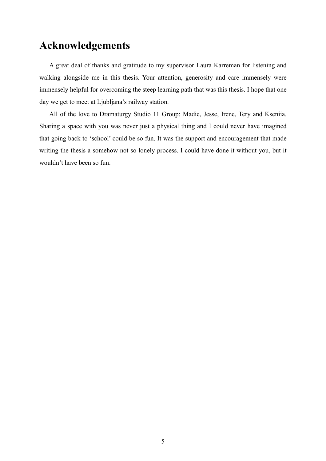# **Acknowledgements**

A great deal of thanks and gratitude to my supervisor Laura Karreman for listening and walking alongside me in this thesis. Your attention, generosity and care immensely were immensely helpful for overcoming the steep learning path that was this thesis. I hope that one day we get to meet at Ljubljana's railway station.

All of the love to Dramaturgy Studio 11 Group: Madie, Jesse, Irene, Tery and Kseniia. Sharing a space with you was never just a physical thing and I could never have imagined that going back to 'school' could be so fun. It was the support and encouragement that made writing the thesis a somehow not so lonely process. I could have done it without you, but it wouldn't have been so fun.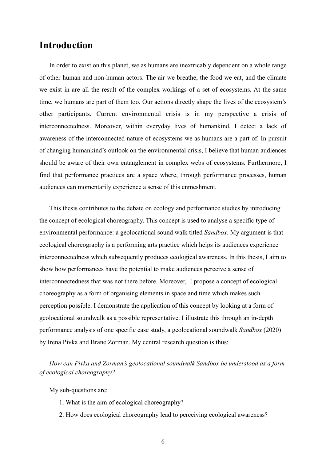### <span id="page-5-0"></span>**Introduction**

In order to exist on this planet, we as humans are inextricably dependent on a whole range of other human and non-human actors. The air we breathe, the food we eat, and the climate we exist in are all the result of the complex workings of a set of ecosystems. At the same time, we humans are part of them too. Our actions directly shape the lives of the ecosystem's other participants. Current environmental crisis is in my perspective a crisis of interconnectedness. Moreover, within everyday lives of humankind, I detect a lack of awareness of the interconnected nature of ecosystems we as humans are a part of. In pursuit of changing humankind's outlook on the environmental crisis, I believe that human audiences should be aware of their own entanglement in complex webs of ecosystems. Furthermore, I find that performance practices are a space where, through performance processes, human audiences can momentarily experience a sense of this enmeshment.

This thesis contributes to the debate on ecology and performance studies by introducing the concept of ecological choreography. This concept is used to analyse a specific type of environmental performance: a geolocational sound walk titled *Sandbox*. My argument is that ecological choreography is a performing arts practice which helps its audiences experience interconnectedness which subsequently produces ecological awareness. In this thesis, I aim to show how performances have the potential to make audiences perceive a sense of interconnectedness that was not there before. Moreover, I propose a concept of ecological choreography as a form of organising elements in space and time which makes such perception possible. I demonstrate the application of this concept by looking at a form of geolocational soundwalk as a possible representative. I illustrate this through an in-depth performance analysis of one specific case study, a geolocational soundwalk *Sandbox* (2020) by Irena Pivka and Brane Zorman. My central research question is thus:

*How can Pivka and Zorman's geolocational soundwalk Sandbox be understood as a form of ecological choreography?* 

My sub-questions are:

- 1. What is the aim of ecological choreography?
- 2. How does ecological choreography lead to perceiving ecological awareness?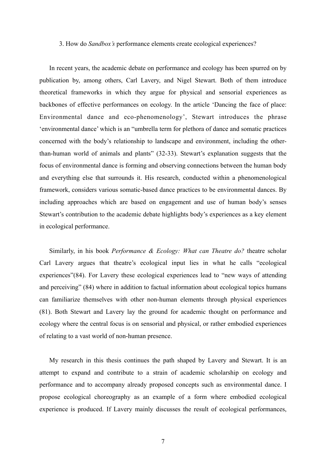#### 3. How do *Sandbox's* performance elements create ecological experiences?

In recent years, the academic debate on performance and ecology has been spurred on by publication by, among others, Carl Lavery, and Nigel Stewart. Both of them introduce theoretical frameworks in which they argue for physical and sensorial experiences as backbones of effective performances on ecology. In the article 'Dancing the face of place: Environmental dance and eco-phenomenology', Stewart introduces the phrase 'environmental dance' which is an "umbrella term for plethora of dance and somatic practices concerned with the body's relationship to landscape and environment, including the otherthan-human world of animals and plants" (32-33). Stewart's explanation suggests that the focus of environmental dance is forming and observing connections between the human body and everything else that surrounds it. His research, conducted within a phenomenological framework, considers various somatic-based dance practices to be environmental dances. By including approaches which are based on engagement and use of human body's senses Stewart's contribution to the academic debate highlights body's experiences as a key element in ecological performance.

Similarly, in his book *Performance & Ecology: What can Theatre do?* theatre scholar Carl Lavery argues that theatre's ecological input lies in what he calls "ecological experiences"(84). For Lavery these ecological experiences lead to "new ways of attending and perceiving" (84) where in addition to factual information about ecological topics humans can familiarize themselves with other non-human elements through physical experiences (81). Both Stewart and Lavery lay the ground for academic thought on performance and ecology where the central focus is on sensorial and physical, or rather embodied experiences of relating to a vast world of non-human presence.

My research in this thesis continues the path shaped by Lavery and Stewart. It is an attempt to expand and contribute to a strain of academic scholarship on ecology and performance and to accompany already proposed concepts such as environmental dance. I propose ecological choreography as an example of a form where embodied ecological experience is produced. If Lavery mainly discusses the result of ecological performances,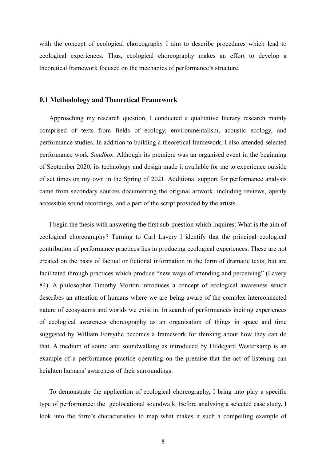with the concept of ecological choreography I aim to describe procedures which lead to ecological experiences. Thus, ecological choreography makes an effort to develop a theoretical framework focused on the mechanics of performance's structure.

#### <span id="page-7-0"></span>**0.1 Methodology and Theoretical Framework**

Approaching my research question, I conducted a qualitative literary research mainly comprised of texts from fields of ecology, environmentalism, acoustic ecology, and performance studies. In addition to building a theoretical framework, I also attended selected performance work *Sandbox*. Although its premiere was an organised event in the beginning of September 2020, its technology and design made it available for me to experience outside of set times on my own in the Spring of 2021. Additional support for performance analysis came from secondary sources documenting the original artwork, including reviews, openly accessible sound recordings, and a part of the script provided by the artists.

I begin the thesis with answering the first sub-question which inquires: What is the aim of ecological choreography? Turning to Carl Lavery I identify that the principal ecological contribution of performance practices lies in producing ecological experiences. These are not created on the basis of factual or fictional information in the form of dramatic texts, but are facilitated through practices which produce "new ways of attending and perceiving" (Lavery 84). A philosopher Timothy Morton introduces a concept of ecological awareness which describes an attention of humans where we are being aware of the complex interconnected nature of ecosystems and worlds we exist in. In search of performances inciting experiences of ecological awareness choreography as an organisation of things in space and time suggested by William Forsythe becomes a framework for thinking about how they can do that. A medium of sound and soundwalking as introduced by Hildegard Westerkamp is an example of a performance practice operating on the premise that the act of listening can heighten humans' awareness of their surroundings.

To demonstrate the application of ecological choreography, I bring into play a specific type of performance: the geolocational soundwalk. Before analysing a selected case study, I look into the form's characteristics to map what makes it such a compelling example of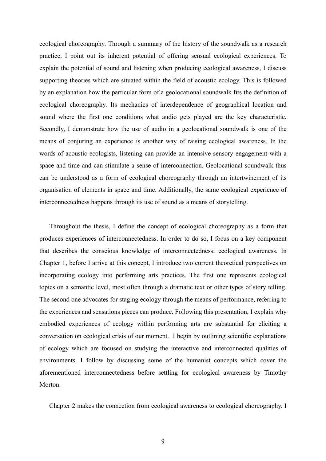ecological choreography. Through a summary of the history of the soundwalk as a research practice, I point out its inherent potential of offering sensual ecological experiences. To explain the potential of sound and listening when producing ecological awareness, I discuss supporting theories which are situated within the field of acoustic ecology. This is followed by an explanation how the particular form of a geolocational soundwalk fits the definition of ecological choreography. Its mechanics of interdependence of geographical location and sound where the first one conditions what audio gets played are the key characteristic. Secondly, I demonstrate how the use of audio in a geolocational soundwalk is one of the means of conjuring an experience is another way of raising ecological awareness. In the words of acoustic ecologists, listening can provide an intensive sensory engagement with a space and time and can stimulate a sense of interconnection. Geolocational soundwalk thus can be understood as a form of ecological choreography through an intertwinement of its organisation of elements in space and time. Additionally, the same ecological experience of interconnectedness happens through its use of sound as a means of storytelling.

Throughout the thesis, I define the concept of ecological choreography as a form that produces experiences of interconnectedness. In order to do so, I focus on a key component that describes the conscious knowledge of interconnectedness: ecological awareness. In Chapter 1, before I arrive at this concept, I introduce two current theoretical perspectives on incorporating ecology into performing arts practices. The first one represents ecological topics on a semantic level, most often through a dramatic text or other types of story telling. The second one advocates for staging ecology through the means of performance, referring to the experiences and sensations pieces can produce. Following this presentation, I explain why embodied experiences of ecology within performing arts are substantial for eliciting a conversation on ecological crisis of our moment. I begin by outlining scientific explanations of ecology which are focused on studying the interactive and interconnected qualities of environments. I follow by discussing some of the humanist concepts which cover the aforementioned interconnectedness before settling for ecological awareness by Timothy Morton.

Chapter 2 makes the connection from ecological awareness to ecological choreography. I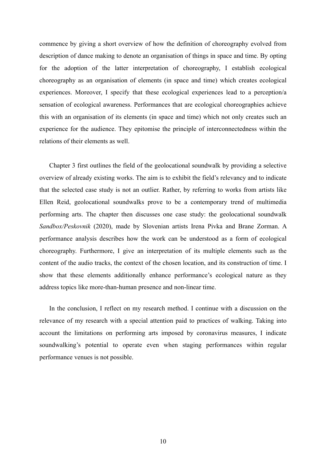commence by giving a short overview of how the definition of choreography evolved from description of dance making to denote an organisation of things in space and time. By opting for the adoption of the latter interpretation of choreography, I establish ecological choreography as an organisation of elements (in space and time) which creates ecological experiences. Moreover, I specify that these ecological experiences lead to a perception/a sensation of ecological awareness. Performances that are ecological choreographies achieve this with an organisation of its elements (in space and time) which not only creates such an experience for the audience. They epitomise the principle of interconnectedness within the relations of their elements as well.

Chapter 3 first outlines the field of the geolocational soundwalk by providing a selective overview of already existing works. The aim is to exhibit the field's relevancy and to indicate that the selected case study is not an outlier. Rather, by referring to works from artists like Ellen Reid, geolocational soundwalks prove to be a contemporary trend of multimedia performing arts. The chapter then discusses one case study: the geolocational soundwalk *Sandbox/Peskovnik* (2020), made by Slovenian artists Irena Pivka and Brane Zorman. A performance analysis describes how the work can be understood as a form of ecological choreography. Furthermore, I give an interpretation of its multiple elements such as the content of the audio tracks, the context of the chosen location, and its construction of time. I show that these elements additionally enhance performance's ecological nature as they address topics like more-than-human presence and non-linear time.

In the conclusion, I reflect on my research method. I continue with a discussion on the relevance of my research with a special attention paid to practices of walking. Taking into account the limitations on performing arts imposed by coronavirus measures, I indicate soundwalking's potential to operate even when staging performances within regular performance venues is not possible.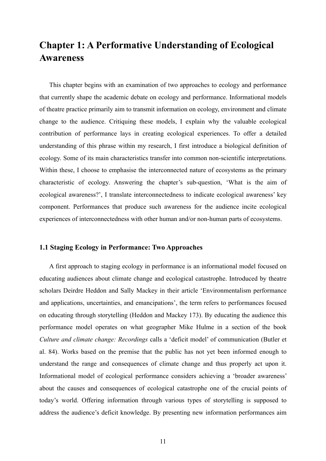# <span id="page-10-0"></span>**Chapter 1: A Performative Understanding of Ecological Awareness**

This chapter begins with an examination of two approaches to ecology and performance that currently shape the academic debate on ecology and performance. Informational models of theatre practice primarily aim to transmit information on ecology, environment and climate change to the audience. Critiquing these models, I explain why the valuable ecological contribution of performance lays in creating ecological experiences. To offer a detailed understanding of this phrase within my research, I first introduce a biological definition of ecology. Some of its main characteristics transfer into common non-scientific interpretations. Within these, I choose to emphasise the interconnected nature of ecosystems as the primary characteristic of ecology. Answering the chapter's sub-question, 'What is the aim of ecological awareness?', I translate interconnectedness to indicate ecological awareness' key component. Performances that produce such awareness for the audience incite ecological experiences of interconnectedness with other human and/or non-human parts of ecosystems.

#### <span id="page-10-1"></span>**1.1 Staging Ecology in Performance: Two Approaches**

A first approach to staging ecology in performance is an informational model focused on educating audiences about climate change and ecological catastrophe. Introduced by theatre scholars Deirdre Heddon and Sally Mackey in their article 'Environmentalism performance and applications, uncertainties, and emancipations', the term refers to performances focused on educating through storytelling (Heddon and Mackey 173). By educating the audience this performance model operates on what geographer Mike Hulme in a section of the book *Culture and climate change: Recordings* calls a 'deficit model' of communication (Butler et al. 84). Works based on the premise that the public has not yet been informed enough to understand the range and consequences of climate change and thus properly act upon it. Informational model of ecological performance considers achieving a 'broader awareness' about the causes and consequences of ecological catastrophe one of the crucial points of today's world. Offering information through various types of storytelling is supposed to address the audience's deficit knowledge. By presenting new information performances aim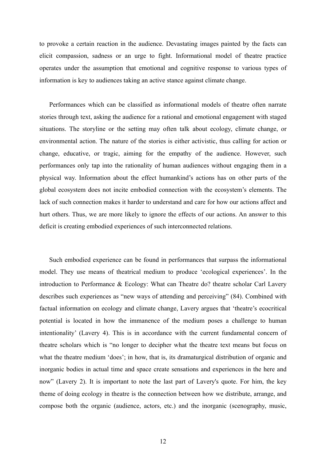to provoke a certain reaction in the audience. Devastating images painted by the facts can elicit compassion, sadness or an urge to fight. Informational model of theatre practice operates under the assumption that emotional and cognitive response to various types of information is key to audiences taking an active stance against climate change.

Performances which can be classified as informational models of theatre often narrate stories through text, asking the audience for a rational and emotional engagement with staged situations. The storyline or the setting may often talk about ecology, climate change, or environmental action. The nature of the stories is either activistic, thus calling for action or change, educative, or tragic, aiming for the empathy of the audience. However, such performances only tap into the rationality of human audiences without engaging them in a physical way. Information about the effect humankind's actions has on other parts of the global ecosystem does not incite embodied connection with the ecosystem's elements. The lack of such connection makes it harder to understand and care for how our actions affect and hurt others. Thus, we are more likely to ignore the effects of our actions. An answer to this deficit is creating embodied experiences of such interconnected relations.

Such embodied experience can be found in performances that surpass the informational model. They use means of theatrical medium to produce 'ecological experiences'. In the introduction to Performance & Ecology: What can Theatre do? theatre scholar Carl Lavery describes such experiences as "new ways of attending and perceiving" (84). Combined with factual information on ecology and climate change, Lavery argues that 'theatre's ecocritical potential is located in how the immanence of the medium poses a challenge to human intentionality' (Lavery 4). This is in accordance with the current fundamental concern of theatre scholars which is "no longer to decipher what the theatre text means but focus on what the theatre medium 'does'; in how, that is, its dramaturgical distribution of organic and inorganic bodies in actual time and space create sensations and experiences in the here and now" (Lavery 2). It is important to note the last part of Lavery's quote. For him, the key theme of doing ecology in theatre is the connection between how we distribute, arrange, and compose both the organic (audience, actors, etc.) and the inorganic (scenography, music,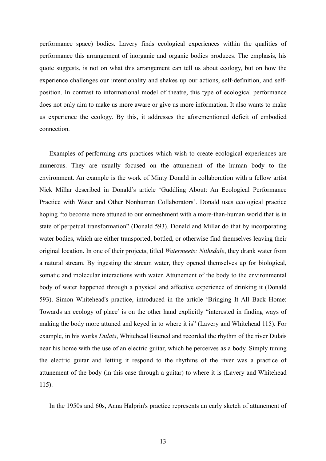performance space) bodies. Lavery finds ecological experiences within the qualities of performance this arrangement of inorganic and organic bodies produces. The emphasis, his quote suggests, is not on what this arrangement can tell us about ecology, but on how the experience challenges our intentionality and shakes up our actions, self-definition, and selfposition. In contrast to informational model of theatre, this type of ecological performance does not only aim to make us more aware or give us more information. It also wants to make us experience the ecology. By this, it addresses the aforementioned deficit of embodied connection.

Examples of performing arts practices which wish to create ecological experiences are numerous. They are usually focused on the attunement of the human body to the environment. An example is the work of Minty Donald in collaboration with a fellow artist Nick Millar described in Donald's article 'Guddling About: An Ecological Performance Practice with Water and Other Nonhuman Collaborators'. Donald uses ecological practice hoping "to become more attuned to our enmeshment with a more-than-human world that is in state of perpetual transformation" (Donald 593). Donald and Millar do that by incorporating water bodies, which are either transported, bottled, or otherwise find themselves leaving their original location. In one of their projects, titled *Watermeets: Nithsdale*, they drank water from a natural stream. By ingesting the stream water, they opened themselves up for biological, somatic and molecular interactions with water. Attunement of the body to the environmental body of water happened through a physical and affective experience of drinking it (Donald 593). Simon Whitehead's practice, introduced in the article 'Bringing It All Back Home: Towards an ecology of place' is on the other hand explicitly "interested in finding ways of making the body more attuned and keyed in to where it is" (Lavery and Whitehead 115). For example, in his works *Dulais*, Whitehead listened and recorded the rhythm of the river Dulais near his home with the use of an electric guitar, which he perceives as a body. Simply tuning the electric guitar and letting it respond to the rhythms of the river was a practice of attunement of the body (in this case through a guitar) to where it is (Lavery and Whitehead 115).

In the 1950s and 60s, Anna Halprin's practice represents an early sketch of attunement of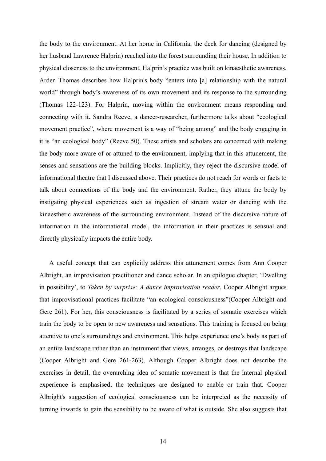the body to the environment. At her home in California, the deck for dancing (designed by her husband Lawrence Halprin) reached into the forest surrounding their house. In addition to physical closeness to the environment, Halprin's practice was built on kinaesthetic awareness. Arden Thomas describes how Halprin's body "enters into [a] relationship with the natural world" through body's awareness of its own movement and its response to the surrounding (Thomas 122-123). For Halprin, moving within the environment means responding and connecting with it. Sandra Reeve, a dancer-researcher, furthermore talks about "ecological movement practice", where movement is a way of "being among" and the body engaging in it is "an ecological body" (Reeve 50). These artists and scholars are concerned with making the body more aware of or attuned to the environment, implying that in this attunement, the senses and sensations are the building blocks. Implicitly, they reject the discursive model of informational theatre that I discussed above. Their practices do not reach for words or facts to talk about connections of the body and the environment. Rather, they attune the body by instigating physical experiences such as ingestion of stream water or dancing with the kinaesthetic awareness of the surrounding environment. Instead of the discursive nature of information in the informational model, the information in their practices is sensual and directly physically impacts the entire body.

A useful concept that can explicitly address this attunement comes from Ann Cooper Albright, an improvisation practitioner and dance scholar. In an epilogue chapter, 'Dwelling in possibility', to *Taken by surprise: A dance improvisation reader*, Cooper Albright argues that improvisational practices facilitate "an ecological consciousness"(Cooper Albright and Gere 261). For her, this consciousness is facilitated by a series of somatic exercises which train the body to be open to new awareness and sensations. This training is focused on being attentive to one's surroundings and environment. This helps experience one's body as part of an entire landscape rather than an instrument that views, arranges, or destroys that landscape (Cooper Albright and Gere 261-263). Although Cooper Albright does not describe the exercises in detail, the overarching idea of somatic movement is that the internal physical experience is emphasised; the techniques are designed to enable or train that. Cooper Albright's suggestion of ecological consciousness can be interpreted as the necessity of turning inwards to gain the sensibility to be aware of what is outside. She also suggests that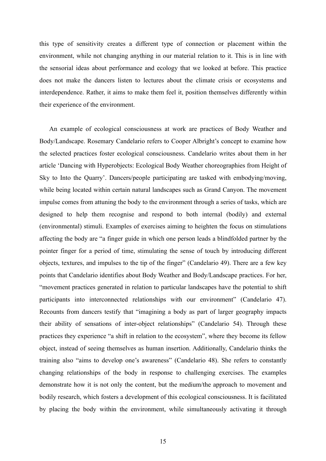this type of sensitivity creates a different type of connection or placement within the environment, while not changing anything in our material relation to it. This is in line with the sensorial ideas about performance and ecology that we looked at before. This practice does not make the dancers listen to lectures about the climate crisis or ecosystems and interdependence. Rather, it aims to make them feel it, position themselves differently within their experience of the environment.

An example of ecological consciousness at work are practices of Body Weather and Body/Landscape. Rosemary Candelario refers to Cooper Albright's concept to examine how the selected practices foster ecological consciousness. Candelario writes about them in her article 'Dancing with Hyperobjects: Ecological Body Weather choreographies from Height of Sky to Into the Quarry'. Dancers/people participating are tasked with embodying/moving, while being located within certain natural landscapes such as Grand Canyon. The movement impulse comes from attuning the body to the environment through a series of tasks, which are designed to help them recognise and respond to both internal (bodily) and external (environmental) stimuli. Examples of exercises aiming to heighten the focus on stimulations affecting the body are "a finger guide in which one person leads a blindfolded partner by the pointer finger for a period of time, stimulating the sense of touch by introducing different objects, textures, and impulses to the tip of the finger" (Candelario 49). There are a few key points that Candelario identifies about Body Weather and Body/Landscape practices. For her, "movement practices generated in relation to particular landscapes have the potential to shift participants into interconnected relationships with our environment" (Candelario 47). Recounts from dancers testify that "imagining a body as part of larger geography impacts their ability of sensations of inter-object relationships" (Candelario 54). Through these practices they experience "a shift in relation to the ecosystem", where they become its fellow object, instead of seeing themselves as human insertion. Additionally, Candelario thinks the training also "aims to develop one's awareness" (Candelario 48). She refers to constantly changing relationships of the body in response to challenging exercises. The examples demonstrate how it is not only the content, but the medium/the approach to movement and bodily research, which fosters a development of this ecological consciousness. It is facilitated by placing the body within the environment, while simultaneously activating it through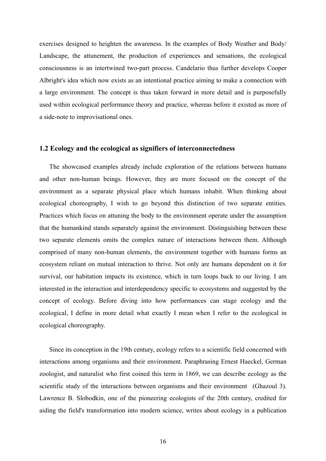exercises designed to heighten the awareness. In the examples of Body Weather and Body/ Landscape, the attunement, the production of experiences and sensations, the ecological consciousness is an intertwined two-part process. Candelario thus further develops Cooper Albright's idea which now exists as an intentional practice aiming to make a connection with a large environment. The concept is thus taken forward in more detail and is purposefully used within ecological performance theory and practice, whereas before it existed as more of a side-note to improvisational ones.

#### <span id="page-15-0"></span>**1.2 Ecology and the ecological as signifiers of interconnectedness**

The showcased examples already include exploration of the relations between humans and other non-human beings. However, they are more focused on the concept of the environment as a separate physical place which humans inhabit. When thinking about ecological choreography, I wish to go beyond this distinction of two separate entities. Practices which focus on attuning the body to the environment operate under the assumption that the humankind stands separately against the environment. Distinguishing between these two separate elements omits the complex nature of interactions between them. Although comprised of many non-human elements, the environment together with humans forms an ecosystem reliant on mutual interaction to thrive. Not only are humans dependent on it for survival, our habitation impacts its existence, which in turn loops back to our living. I am interested in the interaction and interdependency specific to ecosystems and suggested by the concept of ecology. Before diving into how performances can stage ecology and the ecological, I define in more detail what exactly I mean when I refer to the ecological in ecological choreography.

Since its conception in the 19th century, ecology refers to a scientific field concerned with interactions among organisms and their environment. Paraphrasing Ernest Haeckel, German zoologist, and naturalist who first coined this term in 1869, we can describe ecology as the scientific study of the interactions between organisms and their environment (Ghazoul 3). Lawrence B. Slobodkin, one of the pioneering ecologists of the 20th century, credited for aiding the field's transformation into modern science, writes about ecology in a publication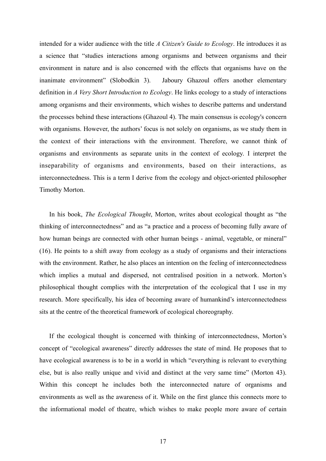intended for a wider audience with the title *A Citizen's Guide to Ecology*. He introduces it as a science that "studies interactions among organisms and between organisms and their environment in nature and is also concerned with the effects that organisms have on the inanimate environment" (Slobodkin 3). Jaboury Ghazoul offers another elementary definition in *A Very Short Introduction to Ecology*. He links ecology to a study of interactions among organisms and their environments, which wishes to describe patterns and understand the processes behind these interactions (Ghazoul 4). The main consensus is ecology's concern with organisms. However, the authors' focus is not solely on organisms, as we study them in the context of their interactions with the environment. Therefore, we cannot think of organisms and environments as separate units in the context of ecology. I interpret the inseparability of organisms and environments, based on their interactions, as interconnectedness. This is a term I derive from the ecology and object-oriented philosopher Timothy Morton.

In his book, *The Ecological Thought*, Morton, writes about ecological thought as "the thinking of interconnectedness" and as "a practice and a process of becoming fully aware of how human beings are connected with other human beings - animal, vegetable, or mineral" (16). He points to a shift away from ecology as a study of organisms and their interactions with the environment. Rather, he also places an intention on the feeling of interconnectedness which implies a mutual and dispersed, not centralised position in a network. Morton's philosophical thought complies with the interpretation of the ecological that I use in my research. More specifically, his idea of becoming aware of humankind's interconnectedness sits at the centre of the theoretical framework of ecological choreography.

If the ecological thought is concerned with thinking of interconnectedness, Morton's concept of "ecological awareness" directly addresses the state of mind. He proposes that to have ecological awareness is to be in a world in which "everything is relevant to everything else, but is also really unique and vivid and distinct at the very same time" (Morton 43). Within this concept he includes both the interconnected nature of organisms and environments as well as the awareness of it. While on the first glance this connects more to the informational model of theatre, which wishes to make people more aware of certain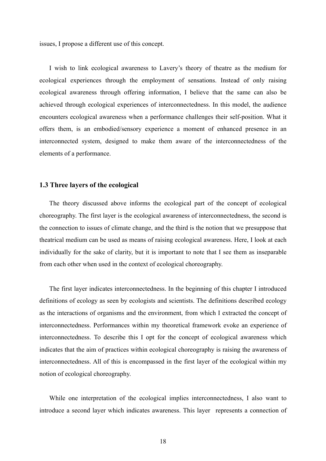issues, I propose a different use of this concept.

I wish to link ecological awareness to Lavery's theory of theatre as the medium for ecological experiences through the employment of sensations. Instead of only raising ecological awareness through offering information, I believe that the same can also be achieved through ecological experiences of interconnectedness. In this model, the audience encounters ecological awareness when a performance challenges their self-position. What it offers them, is an embodied/sensory experience a moment of enhanced presence in an interconnected system, designed to make them aware of the interconnectedness of the elements of a performance.

#### <span id="page-17-0"></span>**1.3 Three layers of the ecological**

The theory discussed above informs the ecological part of the concept of ecological choreography. The first layer is the ecological awareness of interconnectedness, the second is the connection to issues of climate change, and the third is the notion that we presuppose that theatrical medium can be used as means of raising ecological awareness. Here, I look at each individually for the sake of clarity, but it is important to note that I see them as inseparable from each other when used in the context of ecological choreography.

The first layer indicates interconnectedness. In the beginning of this chapter I introduced definitions of ecology as seen by ecologists and scientists. The definitions described ecology as the interactions of organisms and the environment, from which I extracted the concept of interconnectedness. Performances within my theoretical framework evoke an experience of interconnectedness. To describe this I opt for the concept of ecological awareness which indicates that the aim of practices within ecological choreography is raising the awareness of interconnectedness. All of this is encompassed in the first layer of the ecological within my notion of ecological choreography.

While one interpretation of the ecological implies interconnectedness, I also want to introduce a second layer which indicates awareness. This layer represents a connection of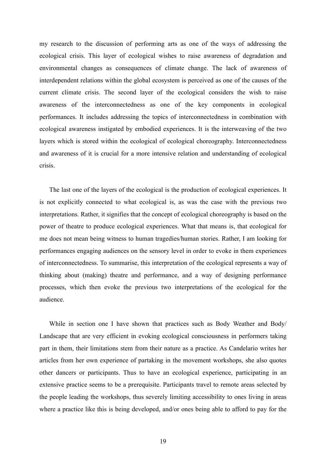my research to the discussion of performing arts as one of the ways of addressing the ecological crisis. This layer of ecological wishes to raise awareness of degradation and environmental changes as consequences of climate change. The lack of awareness of interdependent relations within the global ecosystem is perceived as one of the causes of the current climate crisis. The second layer of the ecological considers the wish to raise awareness of the interconnectedness as one of the key components in ecological performances. It includes addressing the topics of interconnectedness in combination with ecological awareness instigated by embodied experiences. It is the interweaving of the two layers which is stored within the ecological of ecological choreography. Interconnectedness and awareness of it is crucial for a more intensive relation and understanding of ecological crisis.

The last one of the layers of the ecological is the production of ecological experiences. It is not explicitly connected to what ecological is, as was the case with the previous two interpretations. Rather, it signifies that the concept of ecological choreography is based on the power of theatre to produce ecological experiences. What that means is, that ecological for me does not mean being witness to human tragedies/human stories. Rather, I am looking for performances engaging audiences on the sensory level in order to evoke in them experiences of interconnectedness. To summarise, this interpretation of the ecological represents a way of thinking about (making) theatre and performance, and a way of designing performance processes, which then evoke the previous two interpretations of the ecological for the audience.

While in section one I have shown that practices such as Body Weather and Body/ Landscape that are very efficient in evoking ecological consciousness in performers taking part in them, their limitations stem from their nature as a practice. As Candelario writes her articles from her own experience of partaking in the movement workshops, she also quotes other dancers or participants. Thus to have an ecological experience, participating in an extensive practice seems to be a prerequisite. Participants travel to remote areas selected by the people leading the workshops, thus severely limiting accessibility to ones living in areas where a practice like this is being developed, and/or ones being able to afford to pay for the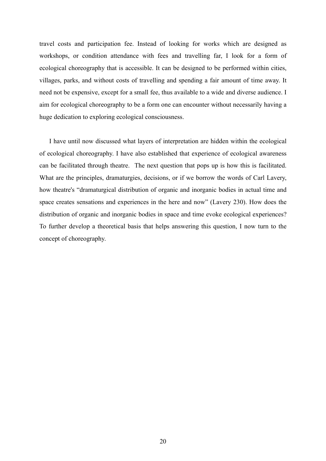travel costs and participation fee. Instead of looking for works which are designed as workshops, or condition attendance with fees and travelling far, I look for a form of ecological choreography that is accessible. It can be designed to be performed within cities, villages, parks, and without costs of travelling and spending a fair amount of time away. It need not be expensive, except for a small fee, thus available to a wide and diverse audience. I aim for ecological choreography to be a form one can encounter without necessarily having a huge dedication to exploring ecological consciousness.

I have until now discussed what layers of interpretation are hidden within the ecological of ecological choreography. I have also established that experience of ecological awareness can be facilitated through theatre. The next question that pops up is how this is facilitated. What are the principles, dramaturgies, decisions, or if we borrow the words of Carl Lavery, how theatre's "dramaturgical distribution of organic and inorganic bodies in actual time and space creates sensations and experiences in the here and now" (Lavery 230). How does the distribution of organic and inorganic bodies in space and time evoke ecological experiences? To further develop a theoretical basis that helps answering this question, I now turn to the concept of choreography.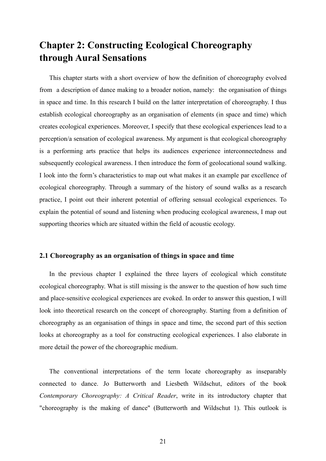# <span id="page-20-0"></span>**Chapter 2: Constructing Ecological Choreography through Aural Sensations**

This chapter starts with a short overview of how the definition of choreography evolved from a description of dance making to a broader notion, namely: the organisation of things in space and time. In this research I build on the latter interpretation of choreography. I thus establish ecological choreography as an organisation of elements (in space and time) which creates ecological experiences. Moreover, I specify that these ecological experiences lead to a perception/a sensation of ecological awareness. My argument is that ecological choreography is a performing arts practice that helps its audiences experience interconnectedness and subsequently ecological awareness. I then introduce the form of geolocational sound walking. I look into the form's characteristics to map out what makes it an example par excellence of ecological choreography. Through a summary of the history of sound walks as a research practice, I point out their inherent potential of offering sensual ecological experiences. To explain the potential of sound and listening when producing ecological awareness, I map out supporting theories which are situated within the field of acoustic ecology.

#### <span id="page-20-1"></span>**2.1 Choreography as an organisation of things in space and time**

In the previous chapter I explained the three layers of ecological which constitute ecological choreography. What is still missing is the answer to the question of how such time and place-sensitive ecological experiences are evoked. In order to answer this question, I will look into theoretical research on the concept of choreography. Starting from a definition of choreography as an organisation of things in space and time, the second part of this section looks at choreography as a tool for constructing ecological experiences. I also elaborate in more detail the power of the choreographic medium.

The conventional interpretations of the term locate choreography as inseparably connected to dance. Jo Butterworth and Liesbeth Wildschut, editors of the book *Contemporary Choreography: A Critical Reader*, write in its introductory chapter that "choreography is the making of dance" (Butterworth and Wildschut 1). This outlook is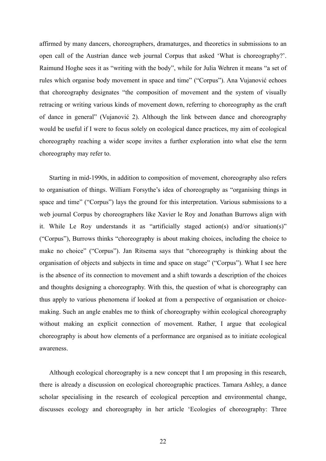affirmed by many dancers, choreographers, dramaturges, and theoretics in submissions to an open call of the Austrian dance web journal Corpus that asked 'What is choreography?'. Raimund Hoghe sees it as "writing with the body", while for Julia Wehren it means "a set of rules which organise body movement in space and time" ("Corpus"). Ana Vujanović echoes that choreography designates "the composition of movement and the system of visually retracing or writing various kinds of movement down, referring to choreography as the craft of dance in general" (Vujanović 2). Although the link between dance and choreography would be useful if I were to focus solely on ecological dance practices, my aim of ecological choreography reaching a wider scope invites a further exploration into what else the term choreography may refer to.

Starting in mid-1990s, in addition to composition of movement, choreography also refers to organisation of things. William Forsythe's idea of choreography as "organising things in space and time" ("Corpus") lays the ground for this interpretation. Various submissions to a web journal Corpus by choreographers like Xavier le Roy and Jonathan Burrows align with it. While Le Roy understands it as "artificially staged action(s) and/or situation(s)" ("Corpus"), Burrows thinks "choreography is about making choices, including the choice to make no choice" ("Corpus"). Jan Ritsema says that "choreography is thinking about the organisation of objects and subjects in time and space on stage" ("Corpus"). What I see here is the absence of its connection to movement and a shift towards a description of the choices and thoughts designing a choreography. With this, the question of what is choreography can thus apply to various phenomena if looked at from a perspective of organisation or choicemaking. Such an angle enables me to think of choreography within ecological choreography without making an explicit connection of movement. Rather, I argue that ecological choreography is about how elements of a performance are organised as to initiate ecological awareness.

Although ecological choreography is a new concept that I am proposing in this research, there is already a discussion on ecological choreographic practices. Tamara Ashley, a dance scholar specialising in the research of ecological perception and environmental change, discusses ecology and choreography in her article 'Ecologies of choreography: Three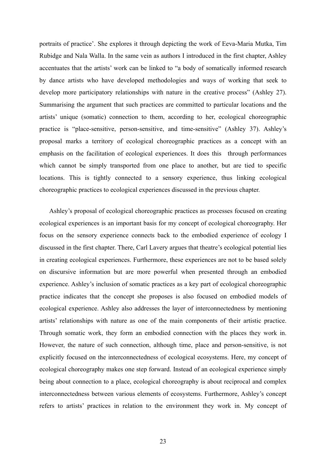portraits of practice'. She explores it through depicting the work of Eeva-Maria Mutka, Tim Rubidge and Nala Walla. In the same vein as authors I introduced in the first chapter, Ashley accentuates that the artists' work can be linked to "a body of somatically informed research by dance artists who have developed methodologies and ways of working that seek to develop more participatory relationships with nature in the creative process" (Ashley 27). Summarising the argument that such practices are committed to particular locations and the artists' unique (somatic) connection to them, according to her, ecological choreographic practice is "place-sensitive, person-sensitive, and time-sensitive" (Ashley 37). Ashley's proposal marks a territory of ecological choreographic practices as a concept with an emphasis on the facilitation of ecological experiences. It does this through performances which cannot be simply transported from one place to another, but are tied to specific locations. This is tightly connected to a sensory experience, thus linking ecological choreographic practices to ecological experiences discussed in the previous chapter.

Ashley's proposal of ecological choreographic practices as processes focused on creating ecological experiences is an important basis for my concept of ecological choreography. Her focus on the sensory experience connects back to the embodied experience of ecology I discussed in the first chapter. There, Carl Lavery argues that theatre's ecological potential lies in creating ecological experiences. Furthermore, these experiences are not to be based solely on discursive information but are more powerful when presented through an embodied experience. Ashley's inclusion of somatic practices as a key part of ecological choreographic practice indicates that the concept she proposes is also focused on embodied models of ecological experience. Ashley also addresses the layer of interconnectedness by mentioning artists' relationships with nature as one of the main components of their artistic practice. Through somatic work, they form an embodied connection with the places they work in. However, the nature of such connection, although time, place and person-sensitive, is not explicitly focused on the interconnectedness of ecological ecosystems. Here, my concept of ecological choreography makes one step forward. Instead of an ecological experience simply being about connection to a place, ecological choreography is about reciprocal and complex interconnectedness between various elements of ecosystems. Furthermore, Ashley's concept refers to artists' practices in relation to the environment they work in. My concept of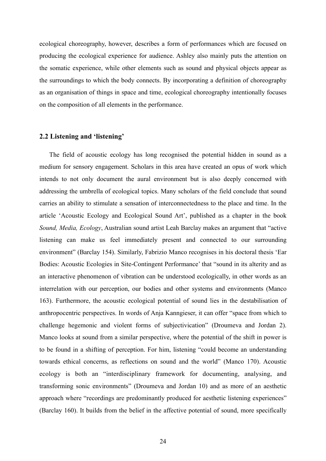ecological choreography, however, describes a form of performances which are focused on producing the ecological experience for audience. Ashley also mainly puts the attention on the somatic experience, while other elements such as sound and physical objects appear as the surroundings to which the body connects. By incorporating a definition of choreography as an organisation of things in space and time, ecological choreography intentionally focuses on the composition of all elements in the performance.

#### <span id="page-23-0"></span>**2.2 Listening and 'listening'**

The field of acoustic ecology has long recognised the potential hidden in sound as a medium for sensory engagement. Scholars in this area have created an opus of work which intends to not only document the aural environment but is also deeply concerned with addressing the umbrella of ecological topics. Many scholars of the field conclude that sound carries an ability to stimulate a sensation of interconnectedness to the place and time. In the article 'Acoustic Ecology and Ecological Sound Art', published as a chapter in the book *Sound, Media, Ecology*, Australian sound artist Leah Barclay makes an argument that "active listening can make us feel immediately present and connected to our surrounding environment" (Barclay 154). Similarly, Fabrizio Manco recognises in his doctoral thesis 'Ear Bodies: Acoustic Ecologies in Site-Contingent Performance' that "sound in its alterity and as an interactive phenomenon of vibration can be understood ecologically, in other words as an interrelation with our perception, our bodies and other systems and environments (Manco 163). Furthermore, the acoustic ecological potential of sound lies in the destabilisation of anthropocentric perspectives. In words of Anja Kanngieser, it can offer "space from which to challenge hegemonic and violent forms of subjectivication" (Droumeva and Jordan 2). Manco looks at sound from a similar perspective, where the potential of the shift in power is to be found in a shifting of perception. For him, listening "could become an understanding towards ethical concerns, as reflections on sound and the world" (Manco 170). Acoustic ecology is both an "interdisciplinary framework for documenting, analysing, and transforming sonic environments" (Droumeva and Jordan 10) and as more of an aesthetic approach where "recordings are predominantly produced for aesthetic listening experiences" (Barclay 160). It builds from the belief in the affective potential of sound, more specifically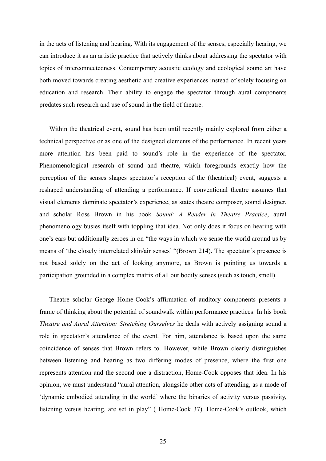in the acts of listening and hearing. With its engagement of the senses, especially hearing, we can introduce it as an artistic practice that actively thinks about addressing the spectator with topics of interconnectedness. Contemporary acoustic ecology and ecological sound art have both moved towards creating aesthetic and creative experiences instead of solely focusing on education and research. Their ability to engage the spectator through aural components predates such research and use of sound in the field of theatre.

Within the theatrical event, sound has been until recently mainly explored from either a technical perspective or as one of the designed elements of the performance. In recent years more attention has been paid to sound's role in the experience of the spectator. Phenomenological research of sound and theatre, which foregrounds exactly how the perception of the senses shapes spectator's reception of the (theatrical) event, suggests a reshaped understanding of attending a performance. If conventional theatre assumes that visual elements dominate spectator's experience, as states theatre composer, sound designer, and scholar Ross Brown in his book *Sound: A Reader in Theatre Practice*, aural phenomenology busies itself with toppling that idea. Not only does it focus on hearing with one's ears but additionally zeroes in on "the ways in which we sense the world around us by means of 'the closely interrelated skin/air senses' "(Brown 214). The spectator's presence is not based solely on the act of looking anymore, as Brown is pointing us towards a participation grounded in a complex matrix of all our bodily senses (such as touch, smell).

Theatre scholar George Home-Cook's affirmation of auditory components presents a frame of thinking about the potential of soundwalk within performance practices. In his book *Theatre and Aural Attention: Stretching Ourselves* he deals with actively assigning sound a role in spectator's attendance of the event. For him, attendance is based upon the same coincidence of senses that Brown refers to. However, while Brown clearly distinguishes between listening and hearing as two differing modes of presence, where the first one represents attention and the second one a distraction, Home-Cook opposes that idea. In his opinion, we must understand "aural attention, alongside other acts of attending, as a mode of 'dynamic embodied attending in the world' where the binaries of activity versus passivity, listening versus hearing, are set in play" ( Home-Cook 37). Home-Cook's outlook, which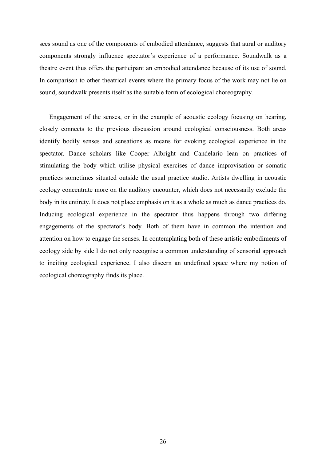sees sound as one of the components of embodied attendance, suggests that aural or auditory components strongly influence spectator's experience of a performance. Soundwalk as a theatre event thus offers the participant an embodied attendance because of its use of sound. In comparison to other theatrical events where the primary focus of the work may not lie on sound, soundwalk presents itself as the suitable form of ecological choreography.

Engagement of the senses, or in the example of acoustic ecology focusing on hearing, closely connects to the previous discussion around ecological consciousness. Both areas identify bodily senses and sensations as means for evoking ecological experience in the spectator. Dance scholars like Cooper Albright and Candelario lean on practices of stimulating the body which utilise physical exercises of dance improvisation or somatic practices sometimes situated outside the usual practice studio. Artists dwelling in acoustic ecology concentrate more on the auditory encounter, which does not necessarily exclude the body in its entirety. It does not place emphasis on it as a whole as much as dance practices do. Inducing ecological experience in the spectator thus happens through two differing engagements of the spectator's body. Both of them have in common the intention and attention on how to engage the senses. In contemplating both of these artistic embodiments of ecology side by side I do not only recognise a common understanding of sensorial approach to inciting ecological experience. I also discern an undefined space where my notion of ecological choreography finds its place.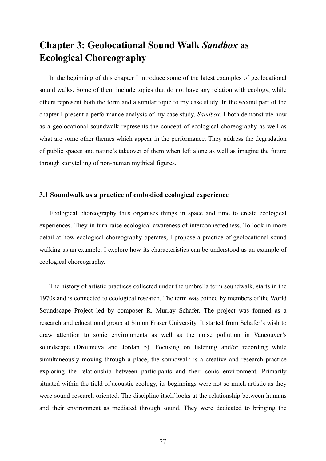# <span id="page-26-0"></span>**Chapter 3: Geolocational Sound Walk** *Sandbox* **as Ecological Choreography**

In the beginning of this chapter I introduce some of the latest examples of geolocational sound walks. Some of them include topics that do not have any relation with ecology, while others represent both the form and a similar topic to my case study. In the second part of the chapter I present a performance analysis of my case study, *Sandbox*. I both demonstrate how as a geolocational soundwalk represents the concept of ecological choreography as well as what are some other themes which appear in the performance. They address the degradation of public spaces and nature's takeover of them when left alone as well as imagine the future through storytelling of non-human mythical figures.

#### <span id="page-26-1"></span>**3.1 Soundwalk as a practice of embodied ecological experience**

Ecological choreography thus organises things in space and time to create ecological experiences. They in turn raise ecological awareness of interconnectedness. To look in more detail at how ecological choreography operates, I propose a practice of geolocational sound walking as an example. I explore how its characteristics can be understood as an example of ecological choreography.

The history of artistic practices collected under the umbrella term soundwalk, starts in the 1970s and is connected to ecological research. The term was coined by members of the World Soundscape Project led by composer R. Murray Schafer. The project was formed as a research and educational group at Simon Fraser University. It started from Schafer's wish to draw attention to sonic environments as well as the noise pollution in Vancouver's soundscape (Droumeva and Jordan 5). Focusing on listening and/or recording while simultaneously moving through a place, the soundwalk is a creative and research practice exploring the relationship between participants and their sonic environment. Primarily situated within the field of acoustic ecology, its beginnings were not so much artistic as they were sound-research oriented. The discipline itself looks at the relationship between humans and their environment as mediated through sound. They were dedicated to bringing the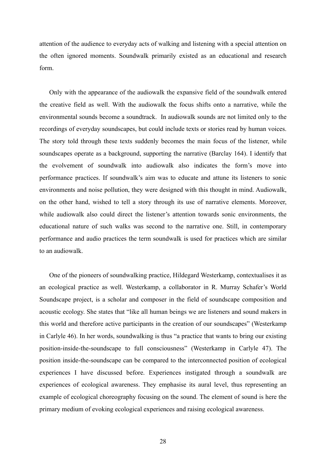attention of the audience to everyday acts of walking and listening with a special attention on the often ignored moments. Soundwalk primarily existed as an educational and research form.

Only with the appearance of the audiowalk the expansive field of the soundwalk entered the creative field as well. With the audiowalk the focus shifts onto a narrative, while the environmental sounds become a soundtrack. In audiowalk sounds are not limited only to the recordings of everyday soundscapes, but could include texts or stories read by human voices. The story told through these texts suddenly becomes the main focus of the listener, while soundscapes operate as a background, supporting the narrative (Barclay 164). I identify that the evolvement of soundwalk into audiowalk also indicates the form's move into performance practices. If soundwalk's aim was to educate and attune its listeners to sonic environments and noise pollution, they were designed with this thought in mind. Audiowalk, on the other hand, wished to tell a story through its use of narrative elements. Moreover, while audiowalk also could direct the listener's attention towards sonic environments, the educational nature of such walks was second to the narrative one. Still, in contemporary performance and audio practices the term soundwalk is used for practices which are similar to an audiowalk.

One of the pioneers of soundwalking practice, Hildegard Westerkamp, contextualises it as an ecological practice as well. Westerkamp, a collaborator in R. Murray Schafer's World Soundscape project, is a scholar and composer in the field of soundscape composition and acoustic ecology. She states that "like all human beings we are listeners and sound makers in this world and therefore active participants in the creation of our soundscapes" (Westerkamp in Carlyle 46). In her words, soundwalking is thus "a practice that wants to bring our existing position-inside-the-soundscape to full consciousness" (Westerkamp in Carlyle 47). The position inside-the-soundscape can be compared to the interconnected position of ecological experiences I have discussed before. Experiences instigated through a soundwalk are experiences of ecological awareness. They emphasise its aural level, thus representing an example of ecological choreography focusing on the sound. The element of sound is here the primary medium of evoking ecological experiences and raising ecological awareness.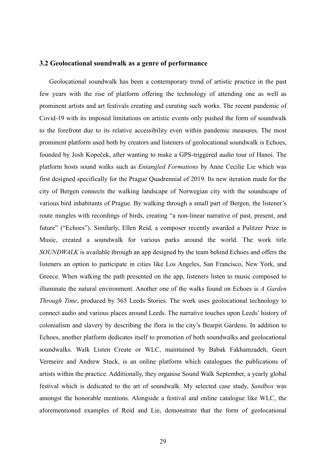#### <span id="page-28-0"></span>**3.2 Geolocational soundwalk as a genre of performance**

Geolocational soundwalk has been a contemporary trend of artistic practice in the past few years with the rise of platform offering the technology of attending one as well as prominent artists and art festivals creating and curating such works. The recent pandemic of Covid-19 with its imposed limitations on artistic events only pushed the form of soundwalk to the forefront due to its relative accessibility even within pandemic measures. The most prominent platform used both by creators and listeners of geolocational soundwalk is Echoes, founded by Josh Kopeček, after wanting to make a GPS-triggered audio tour of Hanoi. The platform hosts sound walks such as *Entangled Formations* by Anne Cecilie Lie which was first designed specifically for the Prague Quadrennial of 2019. Its new iteration made for the city of Bergen connects the walking landscape of Norwegian city with the soundscape of various bird inhabitants of Prague. By walking through a small part of Bergen, the listener's route mingles with recordings of birds, creating "a non-linear narrative of past, present, and future" ("Echoes"). Similarly, Ellen Reid, a composer recently awarded a Pulitzer Prize in Music, created a soundwalk for various parks around the world. The work title *SOUNDWALK* is available through an app designed by the team behind Echoes and offers the listeners an option to participate in cities like Los Angeles, San Francisco, New York, and Greece. When walking the path presented on the app, listeners listen to music composed to illuminate the natural environment. Another one of the walks found on Echoes is *A Garden Through Time*, produced by 365 Leeds Stories. The work uses geolocational technology to connect audio and various places around Leeds. The narrative touches upon Leeds' history of colonialism and slavery by describing the flora in the city's Bearpit Gardens. In addition to Echoes, another platform dedicates itself to promotion of both soundwalks and geolocational soundwalks. Walk Listen Create or WLC, maintained by Babak Fakhamzadeh, Geert Vermeire and Andrew Stuck, is an online platform which catalogues the publications of artists within the practice. Additionally, they organise Sound Walk September, a yearly global festival which is dedicated to the art of soundwalk. My selected case study, *Sandbox* was amongst the honorable mentions. Alongside a festival and online catalogue like WLC, the aforementioned examples of Reid and Lie, demonstrate that the form of geolocational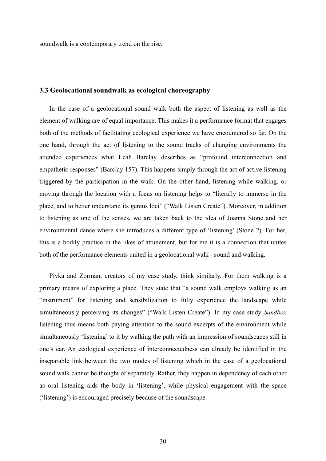soundwalk is a contemporary trend on the rise.

#### <span id="page-29-0"></span>**3.3 Geolocational soundwalk as ecological choreography**

In the case of a geolocational sound walk both the aspect of listening as well as the element of walking are of equal importance. This makes it a performance format that engages both of the methods of facilitating ecological experience we have encountered so far. On the one hand, through the act of listening to the sound tracks of changing environments the attendee experiences what Leah Barclay describes as "profound interconnection and empathetic responses" (Barclay 157). This happens simply through the act of active listening triggered by the participation in the walk. On the other hand, listening while walking, or moving through the location with a focus on listening helps to "literally to immerse in the place, and to better understand its genius loci" ("Walk Listen Create"). Moreover, in addition to listening as one of the senses, we are taken back to the idea of Joanna Stone and her environmental dance where she introduces a different type of 'listening' (Stone 2). For her, this is a bodily practice in the likes of attunement, but for me it is a connection that unites both of the performance elements united in a geolocational walk - sound and walking.

Pivka and Zorman, creators of my case study, think similarly. For them walking is a primary means of exploring a place. They state that "a sound walk employs walking as an "instrument" for listening and sensibilization to fully experience the landscape while simultaneously perceiving its changes" ("Walk Listen Create"). In my case study *Sandbox* listening thus means both paying attention to the sound excerpts of the environment while simultaneously 'listening' to it by walking the path with an impression of soundscapes still in one's ear. An ecological experience of interconnectedness can already be identified in the inseparable link between the two modes of listening which in the case of a geolocational sound walk cannot be thought of separately. Rather, they happen in dependency of each other as oral listening aids the body in 'listening', while physical engagement with the space ('listening') is encouraged precisely because of the soundscape.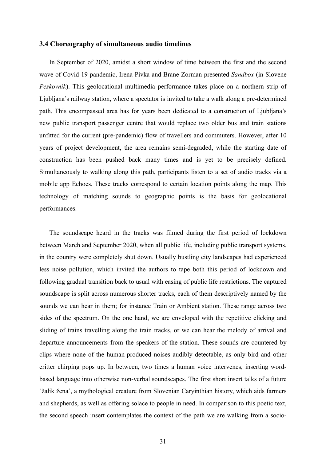#### <span id="page-30-0"></span>**3.4 Choreography of simultaneous audio timelines**

In September of 2020, amidst a short window of time between the first and the second wave of Covid-19 pandemic, Irena Pivka and Brane Zorman presented *Sandbox* (in Slovene *Peskovnik*). This geolocational multimedia performance takes place on a northern strip of Ljubljana's railway station, where a spectator is invited to take a walk along a pre-determined path. This encompassed area has for years been dedicated to a construction of Ljubljana's new public transport passenger centre that would replace two older bus and train stations unfitted for the current (pre-pandemic) flow of travellers and commuters. However, after 10 years of project development, the area remains semi-degraded, while the starting date of construction has been pushed back many times and is yet to be precisely defined. Simultaneously to walking along this path, participants listen to a set of audio tracks via a mobile app Echoes. These tracks correspond to certain location points along the map. This technology of matching sounds to geographic points is the basis for geolocational performances.

The soundscape heard in the tracks was filmed during the first period of lockdown between March and September 2020, when all public life, including public transport systems, in the country were completely shut down. Usually bustling city landscapes had experienced less noise pollution, which invited the authors to tape both this period of lockdown and following gradual transition back to usual with easing of public life restrictions. The captured soundscape is split across numerous shorter tracks, each of them descriptively named by the sounds we can hear in them; for instance Train or Ambient station. These range across two sides of the spectrum. On the one hand, we are enveloped with the repetitive clicking and sliding of trains travelling along the train tracks, or we can hear the melody of arrival and departure announcements from the speakers of the station. These sounds are countered by clips where none of the human-produced noises audibly detectable, as only bird and other critter chirping pops up. In between, two times a human voice intervenes, inserting wordbased language into otherwise non-verbal soundscapes. The first short insert talks of a future 'žalik žena', a mythological creature from Slovenian Caryinthian history, which aids farmers and shepherds, as well as offering solace to people in need. In comparison to this poetic text, the second speech insert contemplates the context of the path we are walking from a socio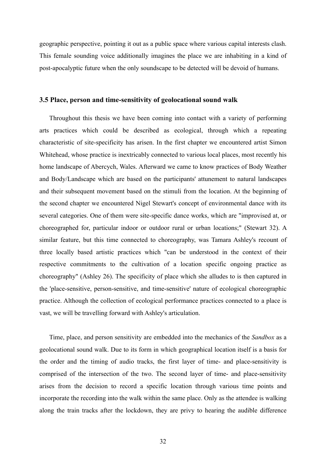geographic perspective, pointing it out as a public space where various capital interests clash. This female sounding voice additionally imagines the place we are inhabiting in a kind of post-apocalyptic future when the only soundscape to be detected will be devoid of humans.

#### <span id="page-31-0"></span>**3.5 Place, person and time-sensitivity of geolocational sound walk**

Throughout this thesis we have been coming into contact with a variety of performing arts practices which could be described as ecological, through which a repeating characteristic of site-specificity has arisen. In the first chapter we encountered artist Simon Whitehead, whose practice is inextricably connected to various local places, most recently his home landscape of Abercych, Wales. Afterward we came to know practices of Body Weather and Body/Landscape which are based on the participants' attunement to natural landscapes and their subsequent movement based on the stimuli from the location. At the beginning of the second chapter we encountered Nigel Stewart's concept of environmental dance with its several categories. One of them were site-specific dance works, which are "improvised at, or choreographed for, particular indoor or outdoor rural or urban locations;" (Stewart 32). A similar feature, but this time connected to choreography, was Tamara Ashley's recount of three locally based artistic practices which "can be understood in the context of their respective commitments to the cultivation of a location specific ongoing practice as choreography" (Ashley 26). The specificity of place which she alludes to is then captured in the 'place-sensitive, person-sensitive, and time-sensitive' nature of ecological choreographic practice. Although the collection of ecological performance practices connected to a place is vast, we will be travelling forward with Ashley's articulation.

Time, place, and person sensitivity are embedded into the mechanics of the *Sandbox* as a geolocational sound walk. Due to its form in which geographical location itself is a basis for the order and the timing of audio tracks, the first layer of time- and place-sensitivity is comprised of the intersection of the two. The second layer of time- and place-sensitivity arises from the decision to record a specific location through various time points and incorporate the recording into the walk within the same place. Only as the attendee is walking along the train tracks after the lockdown, they are privy to hearing the audible difference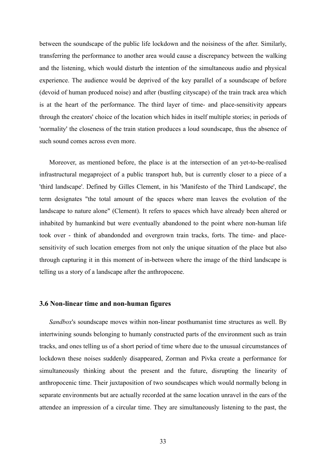between the soundscape of the public life lockdown and the noisiness of the after. Similarly, transferring the performance to another area would cause a discrepancy between the walking and the listening, which would disturb the intention of the simultaneous audio and physical experience. The audience would be deprived of the key parallel of a soundscape of before (devoid of human produced noise) and after (bustling cityscape) of the train track area which is at the heart of the performance. The third layer of time- and place-sensitivity appears through the creators' choice of the location which hides in itself multiple stories; in periods of 'normality' the closeness of the train station produces a loud soundscape, thus the absence of such sound comes across even more.

Moreover, as mentioned before, the place is at the intersection of an yet-to-be-realised infrastructural megaproject of a public transport hub, but is currently closer to a piece of a 'third landscape'. Defined by Gilles Clement, in his 'Manifesto of the Third Landscape', the term designates "the total amount of the spaces where man leaves the evolution of the landscape to nature alone" (Clement). It refers to spaces which have already been altered or inhabited by humankind but were eventually abandoned to the point where non-human life took over - think of abandonded and overgrown train tracks, forts. The time- and placesensitivity of such location emerges from not only the unique situation of the place but also through capturing it in this moment of in-between where the image of the third landscape is telling us a story of a landscape after the anthropocene.

#### <span id="page-32-0"></span>**3.6 Non-linear time and non-human figures**

*Sandbox*'s soundscape moves within non-linear posthumanist time structures as well. By intertwining sounds belonging to humanly constructed parts of the environment such as train tracks, and ones telling us of a short period of time where due to the unusual circumstances of lockdown these noises suddenly disappeared, Zorman and Pivka create a performance for simultaneously thinking about the present and the future, disrupting the linearity of anthropocenic time. Their juxtaposition of two soundscapes which would normally belong in separate environments but are actually recorded at the same location unravel in the ears of the attendee an impression of a circular time. They are simultaneously listening to the past, the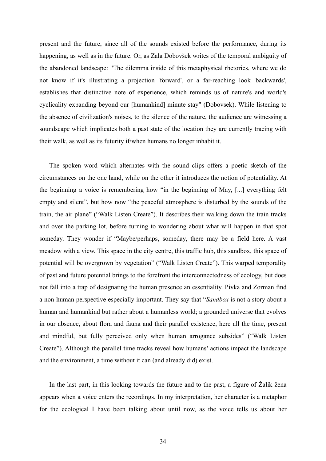present and the future, since all of the sounds existed before the performance, during its happening, as well as in the future. Or, as Zala Dobovšek writes of the temporal ambiguity of the abandoned landscape: "The dilemma inside of this metaphysical rhetorics, where we do not know if it's illustrating a projection 'forward', or a far-reaching look 'backwards', establishes that distinctive note of experience, which reminds us of nature's and world's cyclicality expanding beyond our [humankind] minute stay" (Dobovsek). While listening to the absence of civilization's noises, to the silence of the nature, the audience are witnessing a soundscape which implicates both a past state of the location they are currently tracing with their walk, as well as its futurity if/when humans no longer inhabit it.

The spoken word which alternates with the sound clips offers a poetic sketch of the circumstances on the one hand, while on the other it introduces the notion of potentiality. At the beginning a voice is remembering how "in the beginning of May, [...] everything felt empty and silent", but how now "the peaceful atmosphere is disturbed by the sounds of the train, the air plane" ("Walk Listen Create"). It describes their walking down the train tracks and over the parking lot, before turning to wondering about what will happen in that spot someday. They wonder if "Maybe/perhaps, someday, there may be a field here. A vast meadow with a view. This space in the city centre, this traffic hub, this sandbox, this space of potential will be overgrown by vegetation" ("Walk Listen Create"). This warped temporality of past and future potential brings to the forefront the interconnectedness of ecology, but does not fall into a trap of designating the human presence an essentiality. Pivka and Zorman find a non-human perspective especially important. They say that "*Sandbox* is not a story about a human and humankind but rather about a humanless world; a grounded universe that evolves in our absence, about flora and fauna and their parallel existence, here all the time, present and mindful, but fully perceived only when human arrogance subsides" ("Walk Listen Create"). Although the parallel time tracks reveal how humans' actions impact the landscape and the environment, a time without it can (and already did) exist.

In the last part, in this looking towards the future and to the past, a figure of Žalik žena appears when a voice enters the recordings. In my interpretation, her character is a metaphor for the ecological I have been talking about until now, as the voice tells us about her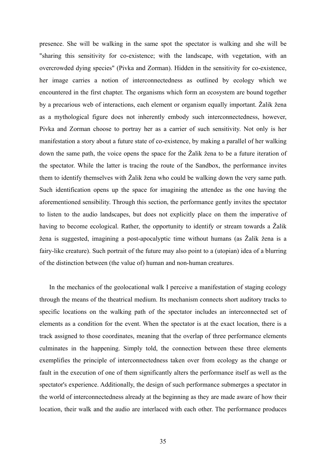presence. She will be walking in the same spot the spectator is walking and she will be "sharing this sensitivity for co-existence; with the landscape, with vegetation, with an overcrowded dying species" (Pivka and Zorman). Hidden in the sensitivity for co-existence, her image carries a notion of interconnectedness as outlined by ecology which we encountered in the first chapter. The organisms which form an ecosystem are bound together by a precarious web of interactions, each element or organism equally important. Žalik žena as a mythological figure does not inherently embody such interconnectedness, however, Pivka and Zorman choose to portray her as a carrier of such sensitivity. Not only is her manifestation a story about a future state of co-existence, by making a parallel of her walking down the same path, the voice opens the space for the Žalik žena to be a future iteration of the spectator. While the latter is tracing the route of the Sandbox, the performance invites them to identify themselves with Žalik žena who could be walking down the very same path. Such identification opens up the space for imagining the attendee as the one having the aforementioned sensibility. Through this section, the performance gently invites the spectator to listen to the audio landscapes, but does not explicitly place on them the imperative of having to become ecological. Rather, the opportunity to identify or stream towards a Žalik žena is suggested, imagining a post-apocalyptic time without humans (as Žalik žena is a fairy-like creature). Such portrait of the future may also point to a (utopian) idea of a blurring of the distinction between (the value of) human and non-human creatures.

In the mechanics of the geolocational walk I perceive a manifestation of staging ecology through the means of the theatrical medium. Its mechanism connects short auditory tracks to specific locations on the walking path of the spectator includes an interconnected set of elements as a condition for the event. When the spectator is at the exact location, there is a track assigned to those coordinates, meaning that the overlap of three performance elements culminates in the happening. Simply told, the connection between these three elements exemplifies the principle of interconnectedness taken over from ecology as the change or fault in the execution of one of them significantly alters the performance itself as well as the spectator's experience. Additionally, the design of such performance submerges a spectator in the world of interconnectedness already at the beginning as they are made aware of how their location, their walk and the audio are interlaced with each other. The performance produces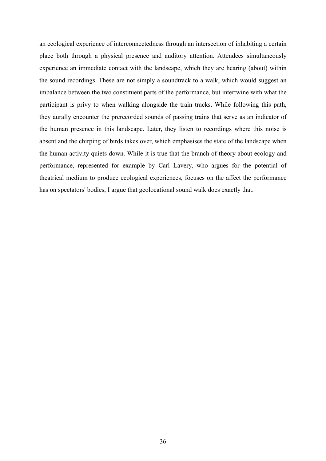an ecological experience of interconnectedness through an intersection of inhabiting a certain place both through a physical presence and auditory attention. Attendees simultaneously experience an immediate contact with the landscape, which they are hearing (about) within the sound recordings. These are not simply a soundtrack to a walk, which would suggest an imbalance between the two constituent parts of the performance, but intertwine with what the participant is privy to when walking alongside the train tracks. While following this path, they aurally encounter the prerecorded sounds of passing trains that serve as an indicator of the human presence in this landscape. Later, they listen to recordings where this noise is absent and the chirping of birds takes over, which emphasises the state of the landscape when the human activity quiets down. While it is true that the branch of theory about ecology and performance, represented for example by Carl Lavery, who argues for the potential of theatrical medium to produce ecological experiences, focuses on the affect the performance has on spectators' bodies, I argue that geolocational sound walk does exactly that.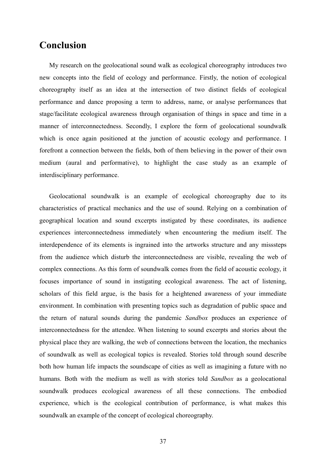### <span id="page-36-0"></span>**Conclusion**

My research on the geolocational sound walk as ecological choreography introduces two new concepts into the field of ecology and performance. Firstly, the notion of ecological choreography itself as an idea at the intersection of two distinct fields of ecological performance and dance proposing a term to address, name, or analyse performances that stage/facilitate ecological awareness through organisation of things in space and time in a manner of interconnectedness. Secondly, I explore the form of geolocational soundwalk which is once again positioned at the junction of acoustic ecology and performance. I forefront a connection between the fields, both of them believing in the power of their own medium (aural and performative), to highlight the case study as an example of interdisciplinary performance.

Geolocational soundwalk is an example of ecological choreography due to its characteristics of practical mechanics and the use of sound. Relying on a combination of geographical location and sound excerpts instigated by these coordinates, its audience experiences interconnectedness immediately when encountering the medium itself. The interdependence of its elements is ingrained into the artworks structure and any misssteps from the audience which disturb the interconnectedness are visible, revealing the web of complex connections. As this form of soundwalk comes from the field of acoustic ecology, it focuses importance of sound in instigating ecological awareness. The act of listening, scholars of this field argue, is the basis for a heightened awareness of your immediate environment. In combination with presenting topics such as degradation of public space and the return of natural sounds during the pandemic *Sandbox* produces an experience of interconnectedness for the attendee. When listening to sound excerpts and stories about the physical place they are walking, the web of connections between the location, the mechanics of soundwalk as well as ecological topics is revealed. Stories told through sound describe both how human life impacts the soundscape of cities as well as imagining a future with no humans. Both with the medium as well as with stories told *Sandbox* as a geolocational soundwalk produces ecological awareness of all these connections. The embodied experience, which is the ecological contribution of performance, is what makes this soundwalk an example of the concept of ecological choreography.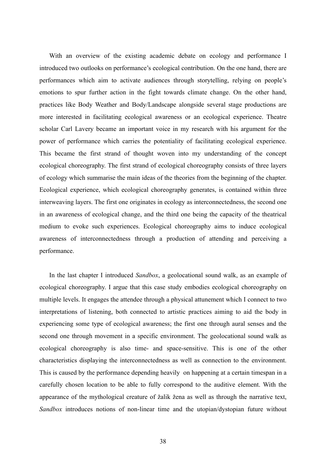With an overview of the existing academic debate on ecology and performance I introduced two outlooks on performance's ecological contribution. On the one hand, there are performances which aim to activate audiences through storytelling, relying on people's emotions to spur further action in the fight towards climate change. On the other hand, practices like Body Weather and Body/Landscape alongside several stage productions are more interested in facilitating ecological awareness or an ecological experience. Theatre scholar Carl Lavery became an important voice in my research with his argument for the power of performance which carries the potentiality of facilitating ecological experience. This became the first strand of thought woven into my understanding of the concept ecological choreography. The first strand of ecological choreography consists of three layers of ecology which summarise the main ideas of the theories from the beginning of the chapter. Ecological experience, which ecological choreography generates, is contained within three interweaving layers. The first one originates in ecology as interconnectedness, the second one in an awareness of ecological change, and the third one being the capacity of the theatrical medium to evoke such experiences. Ecological choreography aims to induce ecological awareness of interconnectedness through a production of attending and perceiving a performance.

In the last chapter I introduced *Sandbox*, a geolocational sound walk, as an example of ecological choreography. I argue that this case study embodies ecological choreography on multiple levels. It engages the attendee through a physical attunement which I connect to two interpretations of listening, both connected to artistic practices aiming to aid the body in experiencing some type of ecological awareness; the first one through aural senses and the second one through movement in a specific environment. The geolocational sound walk as ecological choreography is also time- and space-sensitive. This is one of the other characteristics displaying the interconnectedness as well as connection to the environment. This is caused by the performance depending heavily on happening at a certain timespan in a carefully chosen location to be able to fully correspond to the auditive element. With the appearance of the mythological creature of žalik žena as well as through the narrative text, *Sandbox* introduces notions of non-linear time and the utopian/dystopian future without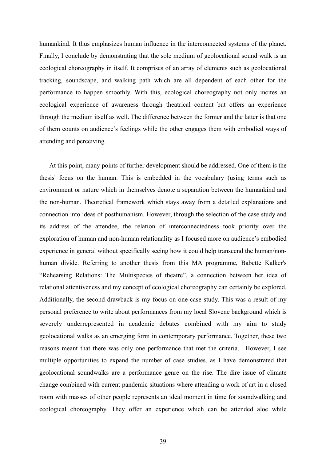humankind. It thus emphasizes human influence in the interconnected systems of the planet. Finally, I conclude by demonstrating that the sole medium of geolocational sound walk is an ecological choreography in itself. It comprises of an array of elements such as geolocational tracking, soundscape, and walking path which are all dependent of each other for the performance to happen smoothly. With this, ecological choreography not only incites an ecological experience of awareness through theatrical content but offers an experience through the medium itself as well. The difference between the former and the latter is that one of them counts on audience's feelings while the other engages them with embodied ways of attending and perceiving.

At this point, many points of further development should be addressed. One of them is the thesis' focus on the human. This is embedded in the vocabulary (using terms such as environment or nature which in themselves denote a separation between the humankind and the non-human. Theoretical framework which stays away from a detailed explanations and connection into ideas of posthumanism. However, through the selection of the case study and its address of the attendee, the relation of interconnectedness took priority over the exploration of human and non-human relationality as I focused more on audience's embodied experience in general without specifically seeing how it could help transcend the human/nonhuman divide. Referring to another thesis from this MA programme, Babette Kalker's "Rehearsing Relations: The Multispecies of theatre", a connection between her idea of relational attentiveness and my concept of ecological choreography can certainly be explored. Additionally, the second drawback is my focus on one case study. This was a result of my personal preference to write about performances from my local Slovene background which is severely underrepresented in academic debates combined with my aim to study geolocational walks as an emerging form in contemporary performance. Together, these two reasons meant that there was only one performance that met the criteria. However, I see multiple opportunities to expand the number of case studies, as I have demonstrated that geolocational soundwalks are a performance genre on the rise. The dire issue of climate change combined with current pandemic situations where attending a work of art in a closed room with masses of other people represents an ideal moment in time for soundwalking and ecological choreography. They offer an experience which can be attended aloe while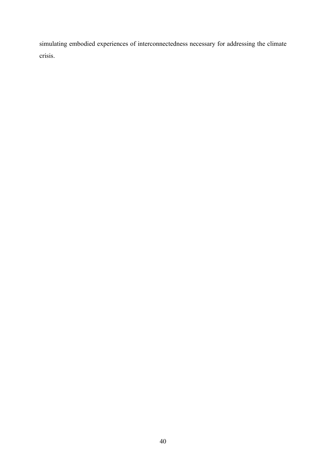simulating embodied experiences of interconnectedness necessary for addressing the climate crisis.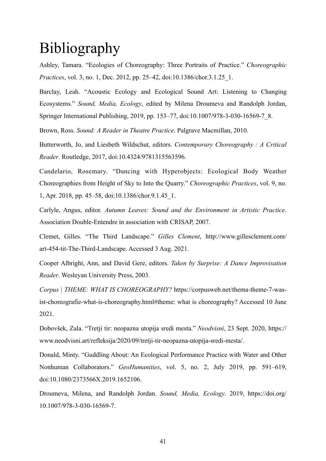# Bibliography

Ashley, Tamara. "Ecologies of Choreography: Three Portraits of Practice." *Choreographic Practices*, vol. 3, no. 1, Dec. 2012, pp. 25–42, doi:10.1386/chor.3.1.25\_1.

Barclay, Leah. "Acoustic Ecology and Ecological Sound Art: Listening to Changing Ecosystems." *Sound, Media, Ecology*, edited by Milena Droumeva and Randolph Jordan, Springer International Publishing, 2019, pp. 153–77, doi:10.1007/978-3-030-16569-7\_8.

Brown, Ross. *Sound: A Reader in Theatre Practice*. Palgrave Macmillan, 2010.

Butterworth, Jo, and Liesbeth Wildschut, editors. *Contemporary Choreography : A Critical Reader*. Routledge, 2017, doi:10.4324/9781315563596.

Candelario, Rosemary. "Dancing with Hyperobjects: Ecological Body Weather Choreographies from Height of Sky to Into the Quarry." *Choreographic Practices*, vol. 9, no. 1, Apr. 2018, pp. 45–58, doi:10.1386/chor.9.1.45\_1.

Carlyle, Angus, editor. *Autumn Leaves: Sound and the Environment in Artistic Practice*. Association Double-Entendre in association with CRISAP, 2007.

Clemet, Gilles. "The Third Landscape." *Gilles Clement*, http://www.gillesclement.com/ art-454-tit-The-Third-Landscape. Accessed 3 Aug. 2021.

Cooper Albright, Ann, and David Gere, editors. *Taken by Surprise: A Dance Improvisation Reader*. Wesleyan University Press, 2003.

*Corpus | THEME: WHAT IS CHOREOGRAPHY?* https://corpusweb.net/thema-theme-7-wasist-choreografie-what-is-choreography.html#theme: what is choreography? Accessed 10 June 2021.

Dobovšek, Zala. "Tretji tir: neopazna utopija sredi mesta." *Neodvisni*, 23 Sept. 2020, https:// www.neodvisni.art/refleksija/2020/09/tretji-tir-neopazna-utopija-sredi-mesta/.

Donald, Minty. "Guddling About: An Ecological Performance Practice with Water and Other Nonhuman Collaborators." *GeoHumanities*, vol. 5, no. 2, July 2019, pp. 591–619, doi:10.1080/2373566X.2019.1652106.

Droumeva, Milena, and Randolph Jordan. *Sound, Media, Ecology*. 2019, https://doi.org/ 10.1007/978-3-030-16569-7.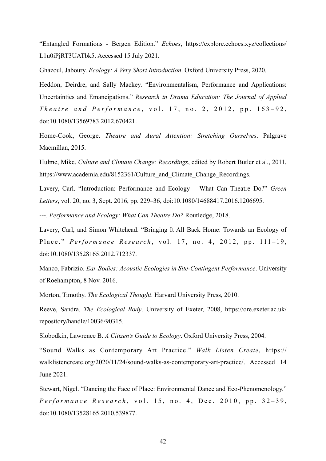"Entangled Formations - Bergen Edition." *Echoes*, https://explore.echoes.xyz/collections/ L1u0iPjRT3UATbk5. Accessed 15 July 2021.

Ghazoul, Jaboury. *Ecology: A Very Short Introduction*. Oxford University Press, 2020.

Heddon, Deirdre, and Sally Mackey. "Environmentalism, Performance and Applications: Uncertainties and Emancipations." *Research in Drama Education: The Journal of Applied The atre and Performance*, vol. 17, no. 2, 2012, pp. 163-92, doi:10.1080/13569783.2012.670421.

Home-Cook, George. *Theatre and Aural Attention: Stretching Ourselves*. Palgrave Macmillan, 2015.

Hulme, Mike. *Culture and Climate Change: Recordings*, edited by Robert Butler et al., 2011, https://www.academia.edu/8152361/Culture and Climate Change Recordings.

Lavery, Carl. "Introduction: Performance and Ecology – What Can Theatre Do?" *Green Letters*, vol. 20, no. 3, Sept. 2016, pp. 229–36, doi:10.1080/14688417.2016.1206695.

---. *Performance and Ecology: What Can Theatre Do?* Routledge, 2018.

Lavery, Carl, and Simon Whitehead. "Bringing It All Back Home: Towards an Ecology of Place." *Performance Research*, vol. 17, no. 4, 2012, pp. 111-19, doi:10.1080/13528165.2012.712337.

Manco, Fabrizio. *Ear Bodies: Acoustic Ecologies in Site-Contingent Performance*. University of Roehampton, 8 Nov. 2016.

Morton, Timothy. *The Ecological Thought*. Harvard University Press, 2010.

Reeve, Sandra. *The Ecological Body*. University of Exeter, 2008, https://ore.exeter.ac.uk/ repository/handle/10036/90315.

Slobodkin, Lawrence B. *A Citizen's Guide to Ecology*. Oxford University Press, 2004.

"Sound Walks as Contemporary Art Practice." *Walk Listen Create*, https:// walklistencreate.org/2020/11/24/sound-walks-as-contemporary-art-practice/. Accessed 14 June 2021.

Stewart, Nigel. "Dancing the Face of Place: Environmental Dance and Eco-Phenomenology." *Performance Research*, vol. 15, no. 4, Dec. 2010, pp. 32-39, doi:10.1080/13528165.2010.539877.